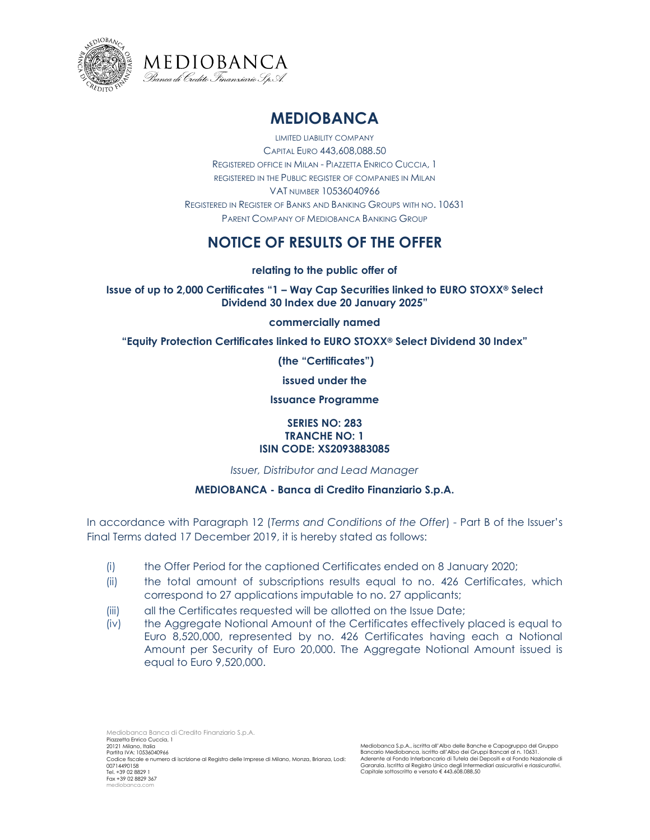



## **MEDIOBANCA**

LIMITED LIABILITY COMPANY CAPITAL EURO 443,608,088.50 REGISTERED OFFICE IN MILAN - PIAZZETTA ENRICO CUCCIA, 1 REGISTERED IN THE PUBLIC REGISTER OF COMPANIES IN MILAN VAT NUMBER 10536040966 REGISTERED IN REGISTER OF BANKS AND BANKING GROUPS WITH NO. 10631 PARENT COMPANY OF MEDIOBANCA BANKING GROUP

## **NOTICE OF RESULTS OF THE OFFER**

**relating to the public offer of**

**Issue of up to 2,000 Certificates "1 – Way Cap Securities linked to EURO STOXX® Select Dividend 30 Index due 20 January 2025"** 

**commercially named**

**"Equity Protection Certificates linked to EURO STOXX® Select Dividend 30 Index"**

**(the "Certificates")** 

**issued under the** 

**Issuance Programme**

## **SERIES NO: 283 TRANCHE NO: 1 ISIN CODE: XS2093883085**

*Issuer, Distributor and Lead Manager*

## **MEDIOBANCA - Banca di Credito Finanziario S.p.A.**

In accordance with Paragraph 12 (*Terms and Conditions of the Offer*) - Part B of the Issuer's Final Terms dated 17 December 2019, it is hereby stated as follows:

- (i) the Offer Period for the captioned Certificates ended on 8 January 2020;
- (ii) the total amount of subscriptions results equal to no. 426 Certificates, which correspond to 27 applications imputable to no. 27 applicants;
- (iii) all the Certificates requested will be allotted on the Issue Date;
- (iv) the Aggregate Notional Amount of the Certificates effectively placed is equal to Euro 8,520,000, represented by no. 426 Certificates having each a Notional Amount per Security of Euro 20,000. The Aggregate Notional Amount issued is equal to Euro 9,520,000.